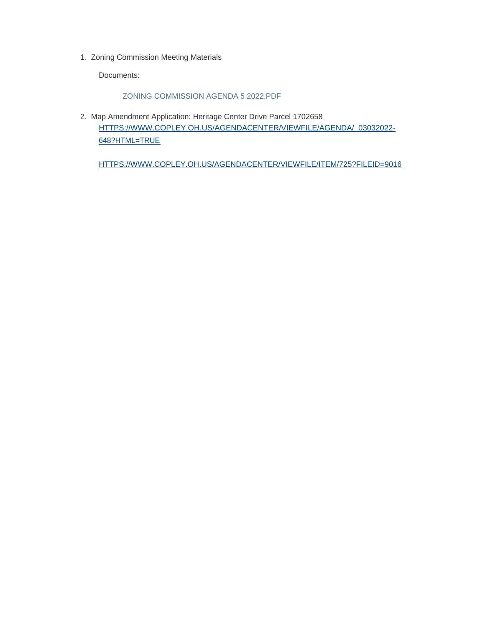1. Zoning Commission Meeting Materials

Documents:

## ZONING COMMISSION AGENDA 5 2022.PDF

2. Map Amendment Application: Heritage Center Drive Parcel 1702658 [HTTPS://WWW.COPLEY.OH.US/AGENDACENTER/VIEWFILE/AGENDA/\\_03032022-](https://www.copley.oh.us/AgendaCenter/ViewFile/Agenda/_03032022-648?html=true) 648?HTML=TRUE

[HTTPS://WWW.COPLEY.OH.US/AGENDACENTER/VIEWFILE/ITEM/725?FILEID=9016](https://www.copley.oh.us/AgendaCenter/ViewFile/Item/725?fileID=9016)